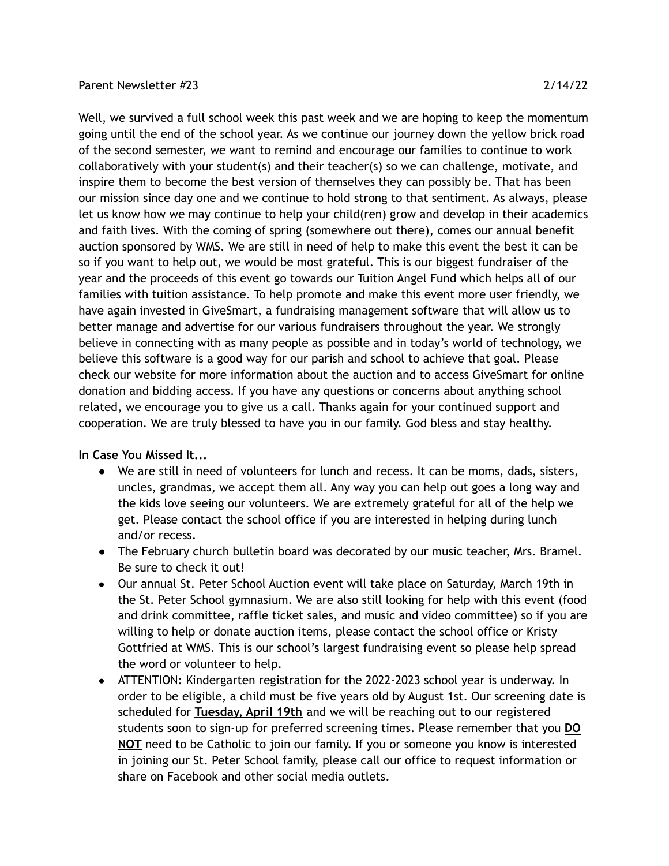## Parent Newsletter #23 2/14/22

Well, we survived a full school week this past week and we are hoping to keep the momentum going until the end of the school year. As we continue our journey down the yellow brick road of the second semester, we want to remind and encourage our families to continue to work collaboratively with your student(s) and their teacher(s) so we can challenge, motivate, and inspire them to become the best version of themselves they can possibly be. That has been our mission since day one and we continue to hold strong to that sentiment. As always, please let us know how we may continue to help your child(ren) grow and develop in their academics and faith lives. With the coming of spring (somewhere out there), comes our annual benefit auction sponsored by WMS. We are still in need of help to make this event the best it can be so if you want to help out, we would be most grateful. This is our biggest fundraiser of the year and the proceeds of this event go towards our Tuition Angel Fund which helps all of our families with tuition assistance. To help promote and make this event more user friendly, we have again invested in GiveSmart, a fundraising management software that will allow us to better manage and advertise for our various fundraisers throughout the year. We strongly believe in connecting with as many people as possible and in today's world of technology, we believe this software is a good way for our parish and school to achieve that goal. Please check our website for more information about the auction and to access GiveSmart for online donation and bidding access. If you have any questions or concerns about anything school related, we encourage you to give us a call. Thanks again for your continued support and cooperation. We are truly blessed to have you in our family. God bless and stay healthy.

## **In Case You Missed It...**

- We are still in need of volunteers for lunch and recess. It can be moms, dads, sisters, uncles, grandmas, we accept them all. Any way you can help out goes a long way and the kids love seeing our volunteers. We are extremely grateful for all of the help we get. Please contact the school office if you are interested in helping during lunch and/or recess.
- The February church bulletin board was decorated by our music teacher, Mrs. Bramel. Be sure to check it out!
- Our annual St. Peter School Auction event will take place on Saturday, March 19th in the St. Peter School gymnasium. We are also still looking for help with this event (food and drink committee, raffle ticket sales, and music and video committee) so if you are willing to help or donate auction items, please contact the school office or Kristy Gottfried at WMS. This is our school's largest fundraising event so please help spread the word or volunteer to help.
- ATTENTION: Kindergarten registration for the 2022-2023 school year is underway. In order to be eligible, a child must be five years old by August 1st. Our screening date is scheduled for **Tuesday, April 19th** and we will be reaching out to our registered students soon to sign-up for preferred screening times. Please remember that you **DO NOT** need to be Catholic to join our family. If you or someone you know is interested in joining our St. Peter School family, please call our office to request information or share on Facebook and other social media outlets.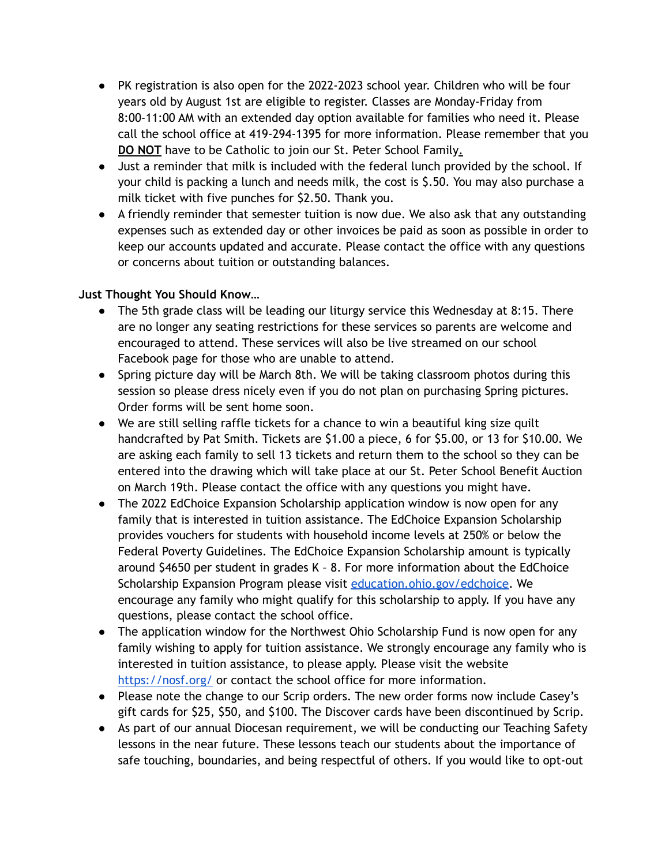- PK registration is also open for the 2022-2023 school year. Children who will be four years old by August 1st are eligible to register. Classes are Monday-Friday from 8:00-11:00 AM with an extended day option available for families who need it. Please call the school office at 419-294-1395 for more information. Please remember that you **DO NOT** have to be Catholic to join our St. Peter School Family.
- Just a reminder that milk is included with the federal lunch provided by the school. If your child is packing a lunch and needs milk, the cost is \$.50. You may also purchase a milk ticket with five punches for \$2.50. Thank you.
- A friendly reminder that semester tuition is now due. We also ask that any outstanding expenses such as extended day or other invoices be paid as soon as possible in order to keep our accounts updated and accurate. Please contact the office with any questions or concerns about tuition or outstanding balances.

## **Just Thought You Should Know…**

- The 5th grade class will be leading our liturgy service this Wednesday at 8:15. There are no longer any seating restrictions for these services so parents are welcome and encouraged to attend. These services will also be live streamed on our school Facebook page for those who are unable to attend.
- Spring picture day will be March 8th. We will be taking classroom photos during this session so please dress nicely even if you do not plan on purchasing Spring pictures. Order forms will be sent home soon.
- We are still selling raffle tickets for a chance to win a beautiful king size quilt handcrafted by Pat Smith. Tickets are \$1.00 a piece, 6 for \$5.00, or 13 for \$10.00. We are asking each family to sell 13 tickets and return them to the school so they can be entered into the drawing which will take place at our St. Peter School Benefit Auction on March 19th. Please contact the office with any questions you might have.
- The 2022 EdChoice Expansion Scholarship application window is now open for any family that is interested in tuition assistance. The EdChoice Expansion Scholarship provides vouchers for students with household income levels at 250% or below the Federal Poverty Guidelines. The EdChoice Expansion Scholarship amount is typically around \$4650 per student in grades K – 8. For more information about the EdChoice Scholarship Expansion Program please visit [education.ohio.gov/edchoice.](http://education.ohio.gov/Topics/Other-Resources/Scholarships/EdChoice-Scholarship-Program) We encourage any family who might qualify for this scholarship to apply. If you have any questions, please contact the school office.
- The application window for the Northwest Ohio Scholarship Fund is now open for any family wishing to apply for tuition assistance. We strongly encourage any family who is interested in tuition assistance, to please apply. Please visit the website <https://nosf.org/> or contact the school office for more information.
- Please note the change to our Scrip orders. The new order forms now include Casey's gift cards for \$25, \$50, and \$100. The Discover cards have been discontinued by Scrip.
- As part of our annual Diocesan requirement, we will be conducting our Teaching Safety lessons in the near future. These lessons teach our students about the importance of safe touching, boundaries, and being respectful of others. If you would like to opt-out